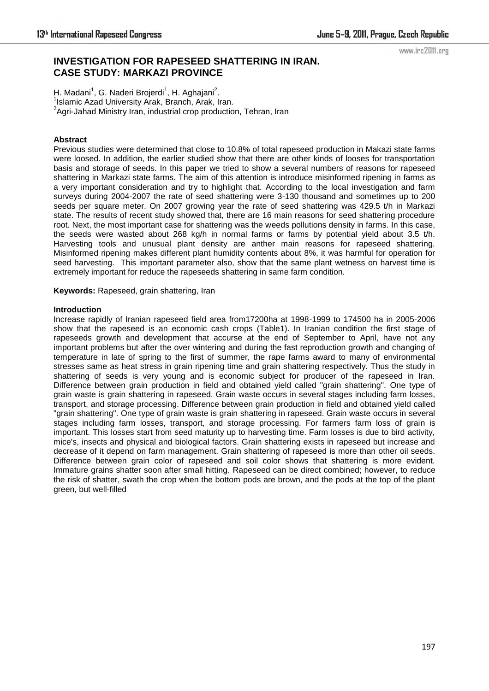# **INVESTIGATION FOR RAPESEED SHATTERING IN IRAN. CASE STUDY: MARKAZI PROVINCE**

www.irc2011.org

H. Madani<sup>1</sup>, G. Naderi Brojerdi<sup>1</sup>, H. Aghajani<sup>2</sup>. <sup>1</sup>Islamic Azad University Arak, Branch, Arak, Iran. <sup>2</sup>Agri-Jahad Ministry Iran, industrial crop production, Tehran, Iran

# **Abstract**

Previous studies were determined that close to 10.8% of total rapeseed production in Makazi state farms were loosed. In addition, the earlier studied show that there are other kinds of looses for transportation basis and storage of seeds. In this paper we tried to show a several numbers of reasons for rapeseed shattering in Markazi state farms. The aim of this attention is introduce misinformed ripening in farms as a very important consideration and try to highlight that. According to the local investigation and farm surveys during 2004-2007 the rate of seed shattering were 3-130 thousand and sometimes up to 200 seeds per square meter. On 2007 growing year the rate of seed shattering was 429.5 t/h in Markazi state. The results of recent study showed that, there are 16 main reasons for seed shattering procedure root. Next, the most important case for shattering was the weeds pollutions density in farms. In this case, the seeds were wasted about 268 kg/h in normal farms or farms by potential yield about 3.5 t/h. Harvesting tools and unusual plant density are anther main reasons for rapeseed shattering. Misinformed ripening makes different plant humidity contents about 8%, it was harmful for operation for seed harvesting. This important parameter also, show that the same plant wetness on harvest time is extremely important for reduce the rapeseeds shattering in same farm condition.

**Keywords:** Rapeseed, grain shattering, Iran

### **Introduction**

Increase rapidly of Iranian rapeseed field area from17200ha at 1998-1999 to 174500 ha in 2005-2006 show that the rapeseed is an economic cash crops (Table1). In Iranian condition the first stage of rapeseeds growth and development that accurse at the end of September to April, have not any important problems but after the over wintering and during the fast reproduction growth and changing of temperature in late of spring to the first of summer, the rape farms award to many of environmental stresses same as heat stress in grain ripening time and grain shattering respectively. Thus the study in shattering of seeds is very young and is economic subject for producer of the rapeseed in Iran. Difference between grain production in field and obtained yield called "grain shattering". One type of grain waste is grain shattering in rapeseed. Grain waste occurs in several stages including farm losses, transport, and storage processing. Difference between grain production in field and obtained yield called "grain shattering". One type of grain waste is grain shattering in rapeseed. Grain waste occurs in several stages including farm losses, transport, and storage processing. For farmers farm loss of grain is important. This losses start from seed maturity up to harvesting time. Farm losses is due to bird activity, mice's, insects and physical and biological factors. Grain shattering exists in rapeseed but increase and decrease of it depend on farm management. Grain shattering of rapeseed is more than other oil seeds. Difference between grain color of rapeseed and soil color shows that shattering is more evident. Immature grains shatter soon after small hitting. Rapeseed can be direct combined; however, to reduce the risk of shatter, swath the crop when the bottom pods are brown, and the pods at the top of the plant green, but well-filled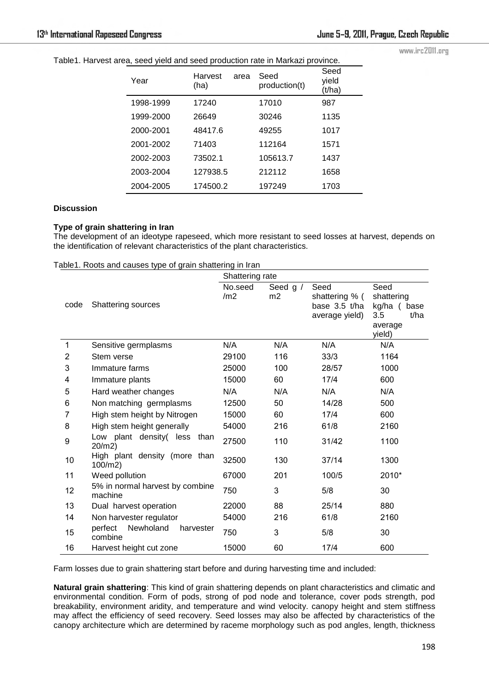www.irc2011.org

| Table1. Harvest area, seed yield and seed production rate in Markazi province. |  |  |
|--------------------------------------------------------------------------------|--|--|
|                                                                                |  |  |

| Year      | Harvest<br>(ha) | area | Seed<br>production(t) | Seed<br>vield<br>(t/ha) |
|-----------|-----------------|------|-----------------------|-------------------------|
| 1998-1999 | 17240           |      | 17010                 | 987                     |
| 1999-2000 | 26649           |      | 30246                 | 1135                    |
| 2000-2001 | 48417.6         |      | 49255                 | 1017                    |
| 2001-2002 | 71403           |      | 112164                | 1571                    |
| 2002-2003 | 73502.1         |      | 105613.7              | 1437                    |
| 2003-2004 | 127938.5        |      | 212112                | 1658                    |
| 2004-2005 | 174500.2        |      | 197249                | 1703                    |

## **Discussion**

## **Type of grain shattering in Iran**

The development of an ideotype rapeseed, which more resistant to seed losses at harvest, depends on the identification of relevant characteristics of the plant characteristics.

|              |                                              | Shattering rate            |                |                                                           |                                                                           |
|--------------|----------------------------------------------|----------------------------|----------------|-----------------------------------------------------------|---------------------------------------------------------------------------|
| code         | <b>Shattering sources</b>                    | No.seed<br>/m <sub>2</sub> | Seed g /<br>m2 | Seed<br>shattering % (<br>base 3.5 t/ha<br>average yield) | Seed<br>shattering<br>kg/ha (<br>base<br>3.5<br>t/ha<br>average<br>yield) |
| $\mathbf{1}$ | Sensitive germplasms                         | N/A                        | N/A            | N/A                                                       | N/A                                                                       |
| 2            | Stem verse                                   | 29100                      | 116            | 33/3                                                      | 1164                                                                      |
| 3            | Immature farms                               | 25000                      | 100            | 28/57                                                     | 1000                                                                      |
| 4            | Immature plants                              | 15000                      | 60             | 17/4                                                      | 600                                                                       |
| 5            | Hard weather changes                         |                            | N/A            | N/A                                                       | N/A                                                                       |
| 6            | Non matching germplasms                      |                            | 50             | 14/28                                                     | 500                                                                       |
| 7            | High stem height by Nitrogen                 | 15000                      | 60             | 17/4                                                      | 600                                                                       |
| 8            | High stem height generally                   | 54000                      | 216            | 61/8                                                      | 2160                                                                      |
| 9            | Low plant density( less<br>than<br>$20/m2$ ) | 27500                      | 110            | 31/42                                                     | 1100                                                                      |
| 10           | High plant density (more than<br>$100/m2$ )  | 32500                      | 130            | 37/14                                                     | 1300                                                                      |
| 11           | Weed pollution                               | 67000                      | 201            | 100/5                                                     | 2010*                                                                     |
| 12           | 5% in normal harvest by combine<br>machine   | 750                        | 3              | 5/8                                                       | 30                                                                        |
| 13           | Dual harvest operation                       | 22000                      | 88             | 25/14                                                     | 880                                                                       |
| 14           | Non harvester regulator                      | 54000                      | 216            | 61/8                                                      | 2160                                                                      |
| 15           | Newholand<br>perfect<br>harvester<br>combine | 750                        | 3              | 5/8                                                       | 30                                                                        |
| 16           | Harvest height cut zone                      | 15000                      | 60             | 17/4                                                      | 600                                                                       |

Farm losses due to grain shattering start before and during harvesting time and included:

**Natural grain shattering**: This kind of grain shattering depends on plant characteristics and climatic and environmental condition. Form of pods, strong of pod node and tolerance, cover pods strength, pod breakability, environment aridity, and temperature and wind velocity. canopy height and stem stiffness may affect the efficiency of seed recovery. Seed losses may also be affected by characteristics of the canopy architecture which are determined by raceme morphology such as pod angles, length, thickness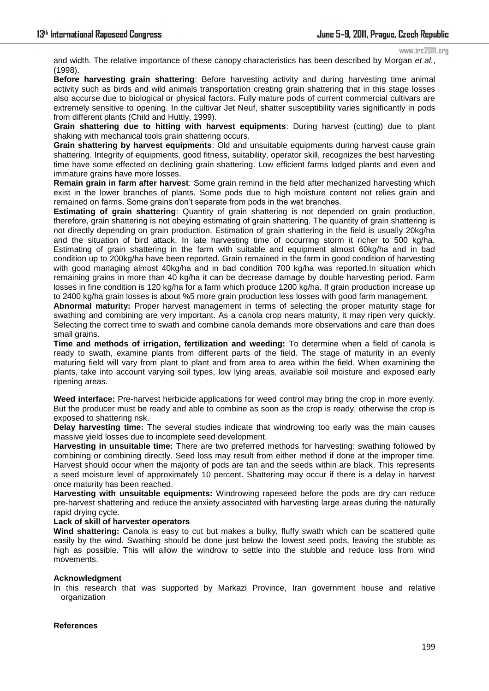#### www.irc2011.org

and width. The relative importance of these canopy characteristics has been described by Morgan *et al*., (1998).

**Before harvesting grain shattering**: Before harvesting activity and during harvesting time animal activity such as birds and wild animals transportation creating grain shattering that in this stage losses also accurse due to biological or physical factors. Fully mature pods of current commercial cultivars are extremely sensitive to opening. In the cultivar Jet Neuf, shatter susceptibility varies significantly in pods from different plants (Child and Huttly, 1999).

**Grain shattering due to hitting with harvest equipments**: During harvest (cutting) due to plant shaking with mechanical tools grain shattering occurs.

**Grain shattering by harvest equipments**: Old and unsuitable equipments during harvest cause grain shattering. Integrity of equipments, good fitness, suitability, operator skill, recognizes the best harvesting time have some effected on declining grain shattering. Low efficient farms lodged plants and even and immature grains have more losses.

**Remain grain in farm after harvest**: Some grain remind in the field after mechanized harvesting which exist in the lower branches of plants. Some pods due to high moisture content not relies grain and remained on farms. Some grains don't separate from pods in the wet branches.

**Estimating of grain shattering**: Quantity of grain shattering is not depended on grain production, therefore, grain shattering is not obeying estimating of grain shattering. The quantity of grain shattering is not directly depending on grain production. Estimation of grain shattering in the field is usually 20kg/ha and the situation of bird attack. In late harvesting time of occurring storm it richer to 500 kg/ha. Estimating of grain shattering in the farm with suitable and equipment almost 60kg/ha and in bad condition up to 200kg/ha have been reported. Grain remained in the farm in good condition of harvesting with good managing almost 40kg/ha and in bad condition 700 kg/ha was reported.In situation which remaining grains in more than 40 kg/ha it can be decrease damage by double harvesting period. Farm losses in fine condition is 120 kg/ha for a farm which produce 1200 kg/ha. If grain production increase up to 2400 kg/ha grain losses is about %5 more grain production less losses with good farm management.

**Abnormal maturity:** Proper harvest management in terms of selecting the proper maturity stage for swathing and combining are very important. As a canola crop nears maturity, it may ripen very quickly. Selecting the correct time to swath and combine canola demands more observations and care than does small grains.

**Time and methods of irrigation, fertilization and weeding:** To determine when a field of canola is ready to swath, examine plants from different parts of the field. The stage of maturity in an evenly maturing field will vary from plant to plant and from area to area within the field. When examining the plants, take into account varying soil types, low lying areas, available soil moisture and exposed early ripening areas.

**Weed interface:** Pre-harvest herbicide applications for weed control may bring the crop in more evenly. But the producer must be ready and able to combine as soon as the crop is ready, otherwise the crop is exposed to shattering risk.

**Delay harvesting time:** The several studies indicate that windrowing too early was the main causes massive yield losses due to incomplete seed development.

**Harvesting in unsuitable time:** There are two preferred methods for harvesting: swathing followed by combining or combining directly. Seed loss may result from either method if done at the improper time. Harvest should occur when the majority of pods are tan and the seeds within are black. This represents a seed moisture level of approximately 10 percent. Shattering may occur if there is a delay in harvest once maturity has been reached.

**Harvesting with unsuitable equipments:** Windrowing rapeseed before the pods are dry can reduce pre-harvest shattering and reduce the anxiety associated with harvesting large areas during the naturally rapid drying cycle.

#### **Lack of skill of harvester operators**

**Wind shattering:** Canola is easy to cut but makes a bulky, fluffy swath which can be scattered quite easily by the wind. Swathing should be done just below the lowest seed pods, leaving the stubble as high as possible. This will allow the windrow to settle into the stubble and reduce loss from wind movements.

#### **Acknowledgment**

In this research that was supported by Markazi Province, Iran government house and relative organization

### **References**